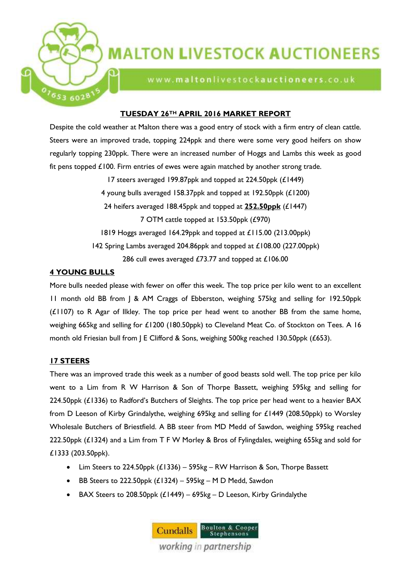

# **MALTON LIVESTOCK AUCTIONEERS**

www.maltonlivestockauctioneers.co.uk

### **TUESDAY 26TH APRIL 2016 MARKET REPORT**

Despite the cold weather at Malton there was a good entry of stock with a firm entry of clean cattle. Steers were an improved trade, topping 224ppk and there were some very good heifers on show regularly topping 230ppk. There were an increased number of Hoggs and Lambs this week as good fit pens topped £100. Firm entries of ewes were again matched by another strong trade.

> 17 steers averaged 199.87ppk and topped at 224.50ppk (£1449) 4 young bulls averaged 158.37ppk and topped at 192.50ppk (£1200) 24 heifers averaged 188.45ppk and topped at **252.50ppk** (£1447) 7 OTM cattle topped at 153.50ppk (£970) 1819 Hoggs averaged 164.29ppk and topped at £115.00 (213.00ppk) 142 Spring Lambs averaged 204.86ppk and topped at £108.00 (227.00ppk) 286 cull ewes averaged £73.77 and topped at £106.00

## **4 YOUNG BULLS**

More bulls needed please with fewer on offer this week. The top price per kilo went to an excellent 11 month old BB from J & AM Craggs of Ebberston, weighing 575kg and selling for 192.50ppk (£1107) to R Agar of Ilkley. The top price per head went to another BB from the same home, weighing 665kg and selling for £1200 (180.50ppk) to Cleveland Meat Co. of Stockton on Tees. A 16 month old Friesian bull from J E Clifford & Sons, weighing 500kg reached 130.50ppk (£653).

## **17 STEERS**

There was an improved trade this week as a number of good beasts sold well. The top price per kilo went to a Lim from R W Harrison & Son of Thorpe Bassett, weighing 595kg and selling for 224.50ppk (£1336) to Radford's Butchers of Sleights. The top price per head went to a heavier BAX from D Leeson of Kirby Grindalythe, weighing 695kg and selling for £1449 (208.50ppk) to Worsley Wholesale Butchers of Briestfield. A BB steer from MD Medd of Sawdon, weighing 595kg reached 222.50ppk (£1324) and a Lim from T F W Morley & Bros of Fylingdales, weighing 655kg and sold for £1333 (203.50ppk).

- Lim Steers to 224.50ppk (£1336) 595kg RW Harrison & Son, Thorpe Bassett
- BB Steers to 222.50ppk  $(L1324)$  595kg M D Medd, Sawdon
- $-BAX$  Steers to 208.50ppk  $(L1449) 695$ kg D Leeson, Kirby Grindalythe

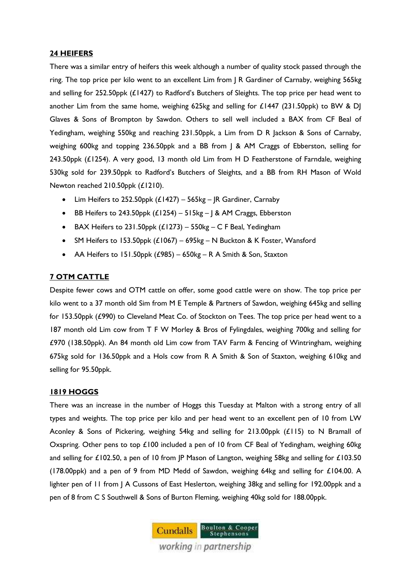#### **24 HEIFERS**

There was a similar entry of heifers this week although a number of quality stock passed through the ring. The top price per kilo went to an excellent Lim from J R Gardiner of Carnaby, weighing 565kg and selling for 252.50ppk (£1427) to Radford's Butchers of Sleights. The top price per head went to another Lim from the same home, weighing 625kg and selling for £1447 (231.50ppk) to BW & DJ Glaves & Sons of Brompton by Sawdon. Others to sell well included a BAX from CF Beal of Yedingham, weighing 550kg and reaching 231.50ppk, a Lim from D R Jackson & Sons of Carnaby, weighing 600kg and topping 236.50ppk and a BB from J & AM Craggs of Ebberston, selling for 243.50ppk (£1254). A very good, 13 month old Lim from H D Featherstone of Farndale, weighing 530kg sold for 239.50ppk to Radford's Butchers of Sleights, and a BB from RH Mason of Wold Newton reached 210.50ppk (£1210).

- Lim Heifers to 252.50ppk (£1427) 565kg JR Gardiner, Carnaby
- BB Heifers to 243.50ppk  $(E1254) 515$ kg J & AM Craggs, Ebberston
- $\bullet$  BAX Heifers to 231.50ppk (£1273) 550kg C F Beal, Yedingham
- SM Heifers to 153.50ppk (£1067) 695kg N Buckton & K Foster, Wansford
- AA Heifers to 151.50ppk  $(£985) 650kg R A$  Smith & Son, Staxton

#### **7 OTM CATTLE**

Despite fewer cows and OTM cattle on offer, some good cattle were on show. The top price per kilo went to a 37 month old Sim from M E Temple & Partners of Sawdon, weighing 645kg and selling for 153.50ppk (£990) to Cleveland Meat Co. of Stockton on Tees. The top price per head went to a 187 month old Lim cow from T F W Morley & Bros of Fylingdales, weighing 700kg and selling for £970 (138.50ppk). An 84 month old Lim cow from TAV Farm & Fencing of Wintringham, weighing 675kg sold for 136.50ppk and a Hols cow from R A Smith & Son of Staxton, weighing 610kg and selling for 95.50ppk.

#### **1819 HOGGS**

There was an increase in the number of Hoggs this Tuesday at Malton with a strong entry of all types and weights. The top price per kilo and per head went to an excellent pen of 10 from LW Aconley & Sons of Pickering, weighing 54kg and selling for 213.00ppk (£115) to N Bramall of Oxspring. Other pens to top £100 included a pen of 10 from CF Beal of Yedingham, weighing 60kg and selling for £102.50, a pen of 10 from JP Mason of Langton, weighing 58kg and selling for £103.50 (178.00ppk) and a pen of 9 from MD Medd of Sawdon, weighing 64kg and selling for £104.00. A lighter pen of 11 from J A Cussons of East Heslerton, weighing 38kg and selling for 192.00ppk and a pen of 8 from C S Southwell & Sons of Burton Fleming, weighing 40kg sold for 188.00ppk.

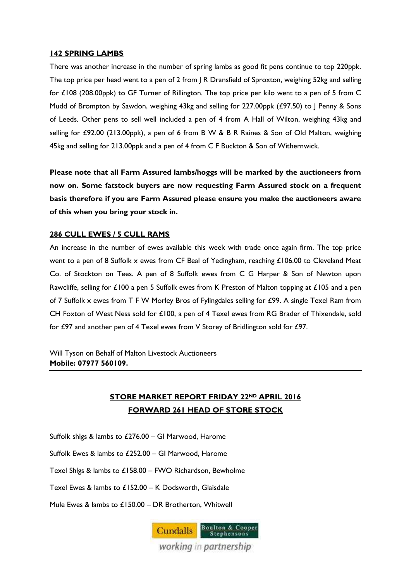#### **142 SPRING LAMBS**

There was another increase in the number of spring lambs as good fit pens continue to top 220ppk. The top price per head went to a pen of 2 from | R Dransfield of Sproxton, weighing 52kg and selling for £108 (208.00ppk) to GF Turner of Rillington. The top price per kilo went to a pen of 5 from C Mudd of Brompton by Sawdon, weighing 43kg and selling for 227.00ppk (£97.50) to J Penny & Sons of Leeds. Other pens to sell well included a pen of 4 from A Hall of Wilton, weighing 43kg and selling for £92.00 (213.00ppk), a pen of 6 from B W & B R Raines & Son of Old Malton, weighing 45kg and selling for 213.00ppk and a pen of 4 from C F Buckton & Son of Withernwick.

**Please note that all Farm Assured lambs/hoggs will be marked by the auctioneers from now on. Some fatstock buyers are now requesting Farm Assured stock on a frequent basis therefore if you are Farm Assured please ensure you make the auctioneers aware of this when you bring your stock in.**

#### **286 CULL EWES / 5 CULL RAMS**

An increase in the number of ewes available this week with trade once again firm. The top price went to a pen of 8 Suffolk x ewes from CF Beal of Yedingham, reaching £106.00 to Cleveland Meat Co. of Stockton on Tees. A pen of 8 Suffolk ewes from C G Harper & Son of Newton upon Rawcliffe, selling for £100 a pen 5 Suffolk ewes from K Preston of Malton topping at £105 and a pen of 7 Suffolk x ewes from T F W Morley Bros of Fylingdales selling for £99. A single Texel Ram from CH Foxton of West Ness sold for £100, a pen of 4 Texel ewes from RG Brader of Thixendale, sold for £97 and another pen of 4 Texel ewes from V Storey of Bridlington sold for £97.

Will Tyson on Behalf of Malton Livestock Auctioneers **Mobile: 07977 560109.** 

# **STORE MARKET REPORT FRIDAY 22ND APRIL 2016 FORWARD 261 HEAD OF STORE STOCK**

Suffolk shlgs & lambs to £276.00 – GI Marwood, Harome

Suffolk Ewes & lambs to £252.00 – GI Marwood, Harome

Texel Shlgs & lambs to £158.00 – FWO Richardson, Bewholme

Texel Ewes & lambs to £152.00 – K Dodsworth, Glaisdale

Mule Ewes & lambs to £150.00 – DR Brotherton, Whitwell

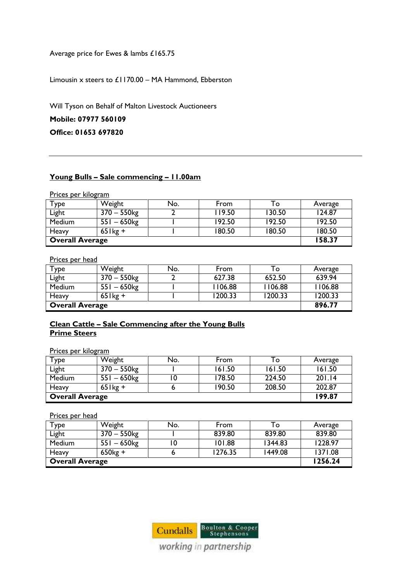Average price for Ewes & lambs £165.75

Limousin x steers to £1170.00 – MA Hammond, Ebberston

Will Tyson on Behalf of Malton Livestock Auctioneers

**Mobile: 07977 560109**

**Office: 01653 697820**

#### **Young Bulls – Sale commencing – 11.00am**

Prices per kilogram

| Type                   | Weight         | No. | From   | To     | Average |
|------------------------|----------------|-----|--------|--------|---------|
| Light                  | $370 - 550$ kg |     | 119.50 | 130.50 | 124.87  |
| Medium                 | $551 - 650$ kg |     | 192.50 | 192.50 | 192.50  |
| Heavy                  | $65$ kg +      |     | 180.50 | 180.50 | 180.50  |
| <b>Overall Average</b> | 158.37         |     |        |        |         |

Prices per head

| Туре                   | Weight         | No. | From    | To:     | Average |
|------------------------|----------------|-----|---------|---------|---------|
| Light                  | $370 - 550$ kg |     | 627.38  | 652.50  | 639.94  |
| <b>Medium</b>          | $551 - 650$ kg |     | 1106.88 | 1106.88 | 1106.88 |
| Heavy                  | $65$ kg +      |     | 1200.33 | 1200.33 | 1200.33 |
| <b>Overall Average</b> |                |     |         |         | 896.77  |

### **Clean Cattle – Sale Commencing after the Young Bulls Prime Steers**

Prices per kilogram

| Type                   | Weight         | No. | From   | ı o    | Average |
|------------------------|----------------|-----|--------|--------|---------|
| Light                  | $370 - 550$ kg |     | 161.50 | 161.50 | 161.50  |
| Medium                 | $551 - 650$ kg |     | 178.50 | 224.50 | 201.14  |
| Heavy                  | $65$ kg +      |     | 190.50 | 208.50 | 202.87  |
| <b>Overall Average</b> | 199.87         |     |        |        |         |

Prices per head

| Туре                   | Weight         | No. | From    | To      | Average |
|------------------------|----------------|-----|---------|---------|---------|
| Light                  | 370 – 550kg    |     | 839.80  | 839.80  | 839.80  |
| <b>Medium</b>          | $551 - 650$ kg |     | 101.88  | 1344.83 | 1228.97 |
| Heavy                  | $650kg +$      |     | 1276.35 | 1449.08 | 1371.08 |
| <b>Overall Average</b> | 1256.24        |     |         |         |         |

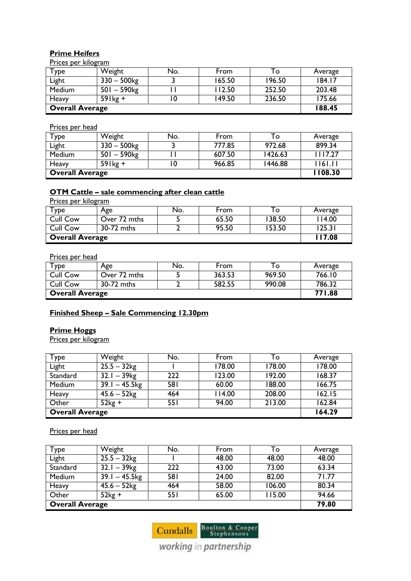## **Prime Heifers**

Prices per kilogram

| Type                   | Weight                    | No. | From   | 10     | Average |
|------------------------|---------------------------|-----|--------|--------|---------|
| Light                  | $330 - 500$ kg            |     | 165.50 | 196.50 | 184.17  |
| Medium                 | $501 - 590$ <sub>kg</sub> |     | 112.50 | 252.50 | 203.48  |
| Heavy                  | $59$ <sup>+</sup>         |     | 149.50 | 236.50 | 175.66  |
| <b>Overall Average</b> |                           |     |        |        | 188.45  |

#### Prices per head

| Туре                   | Weight            | No. | From   | To      | Average |
|------------------------|-------------------|-----|--------|---------|---------|
| Light                  | $330 - 500$ kg    |     | 777.85 | 972.68  | 899.34  |
| <b>Medium</b>          | $501 - 590$ kg    |     | 607.50 | 1426.63 | 1117.27 |
| Heavy                  | $59$ <sup>+</sup> |     | 966.85 | 1446.88 | 161.11  |
| <b>Overall Average</b> | 1108.30           |     |        |         |         |

## **OTM Cattle – sale commencing after clean cattle**

Prices per kilogram

| $\tau_{\text{ype}}$    | Age          | No. | From  | Тo     | Average |
|------------------------|--------------|-----|-------|--------|---------|
| <b>Cull Cow</b>        | Over 72 mths |     | 65.50 | 138.50 | 14.00   |
| <b>Cull Cow</b>        | 30-72 mths   |     | 95.50 | 153.50 | 125.31  |
| <b>Overall Average</b> | 117.08       |     |       |        |         |

#### Prices per head

| Type                   | Age          | No. | From   | To     | Average |
|------------------------|--------------|-----|--------|--------|---------|
| <b>Cull Cow</b>        | Over 72 mths |     | 363.53 | 969.50 | 766.10  |
| <b>Cull Cow</b>        | 30-72 mths   |     | 582.55 | 990.08 | 786.32  |
| <b>Overall Average</b> | 771.88       |     |        |        |         |

# **Finished Sheep – Sale Commencing 12.30pm**

## **Prime Hoggs**

Prices per kilogram

| Type                   | Weight           | No.        | From   | To     | Average |
|------------------------|------------------|------------|--------|--------|---------|
| Light                  | $25.5 - 32$ kg   |            | 178.00 | 178.00 | 178.00  |
| Standard               | $32.1 - 39$ kg   | 222        | 123.00 | 192.00 | 168.37  |
| Medium                 | $39.1 - 45.5$ kg | <b>581</b> | 60.00  | 188.00 | 166.75  |
| Heavy                  | $45.6 - 52$ kg   | 464        | 114.00 | 208.00 | 162.15  |
| Other                  | $52kg +$         | 55 I       | 94.00  | 213.00 | 162.84  |
| <b>Overall Average</b> | 164.29           |            |        |        |         |

#### Prices per head

| Type                   | Weight                      | No.        | From  | То     | Average |
|------------------------|-----------------------------|------------|-------|--------|---------|
| Light                  | $25.5 - 32$ kg              |            | 48.00 | 48.00  | 48.00   |
| Standard               | $32.1 - 39$ kg              | 222        | 43.00 | 73.00  | 63.34   |
| Medium                 | $\overline{39.1} - 45.5$ kg | <b>581</b> | 24.00 | 82.00  | 71.77   |
| Heavy                  | $45.6 - 52$ kg              | 464        | 58.00 | 106.00 | 80.34   |
| Other                  | $52kg +$                    | 551        | 65.00 | 115.00 | 94.66   |
| <b>Overall Average</b> | 79.80                       |            |       |        |         |

Cundalls Boulton & Cooper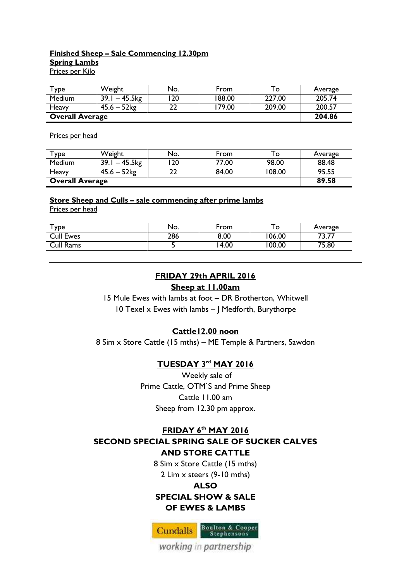# **Finished Sheep – Sale Commencing 12.30pm Spring Lambs**

Prices per Kilo

| $T$ ype                | Weight           | No. | From   | O      | Average |
|------------------------|------------------|-----|--------|--------|---------|
| Medium                 | 39.1<br>– 45.5kg | 20  | 188.00 | 227.00 | 205.74  |
| Heavy                  | $45.6 - 52$      | רר  | 179.00 | 209.00 | 200.57  |
| <b>Overall Average</b> | 204.86           |     |        |        |         |

Prices per head

| Туре                   | Weight           | No. | From  | $\circ$ | Average |
|------------------------|------------------|-----|-------|---------|---------|
| Medium                 | $39.1 - 45.5$ kg | 20  | 77.00 | 98.00   | 88.48   |
| Heavy                  | $45.6 - 52$ kg   |     | 84.00 | 108.00  | 95.55   |
| <b>Overall Average</b> | 89.58            |     |       |         |         |

#### **Store Sheep and Culls – sale commencing after prime lambs**

Prices per head

| $\mathsf{\tau}_{\texttt{ype}}$ | No. | From | O      | Average            |
|--------------------------------|-----|------|--------|--------------------|
| <b>Cull Ewes</b>               | 286 | 8.00 | 06.00  | ヮヮ<br>⇁<br>، /.د ً |
| Cull Rams                      |     | 4.00 | 100.00 | 75.80              |

# **FRIDAY 29th APRIL 2016**

#### **Sheep at 11.00am**

15 Mule Ewes with lambs at foot – DR Brotherton, Whitwell 10 Texel x Ewes with lambs – J Medforth, Burythorpe

#### **Cattle12.00 noon**

8 Sim x Store Cattle (15 mths) – ME Temple & Partners, Sawdon

## **TUESDAY 3rd MAY 2016**

Weekly sale of Prime Cattle, OTM`S and Prime Sheep Cattle 11.00 am Sheep from 12.30 pm approx.

## **FRIDAY 6 th MAY 2016 SECOND SPECIAL SPRING SALE OF SUCKER CALVES**

#### **AND STORE CATTLE**

8 Sim x Store Cattle (15 mths) 2 Lim x steers (9-10 mths)

# **ALSO SPECIAL SHOW & SALE OF EWES & LAMBS**

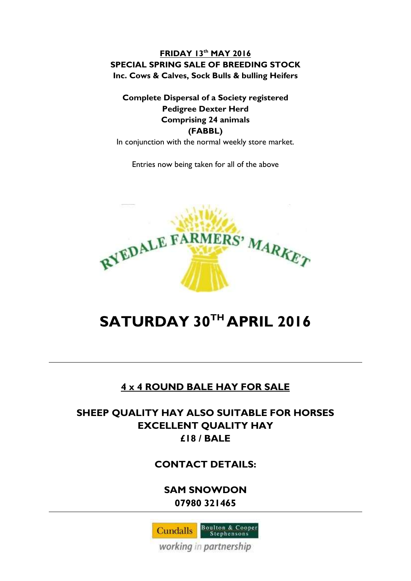# **FRIDAY 13th MAY 2016 SPECIAL SPRING SALE OF BREEDING STOCK Inc. Cows & Calves, Sock Bulls & bulling Heifers**

# **Complete Dispersal of a Society registered Pedigree Dexter Herd Comprising 24 animals (FABBL)**

In conjunction with the normal weekly store market.

Entries now being taken for all of the above



# **SATURDAY 30TH APRIL 2016**

# **4 x 4 ROUND BALE HAY FOR SALE**

# **SHEEP QUALITY HAY ALSO SUITABLE FOR HORSES EXCELLENT QUALITY HAY £18 / BALE**

# **CONTACT DETAILS:**

**SAM SNOWDON 07980 321465**

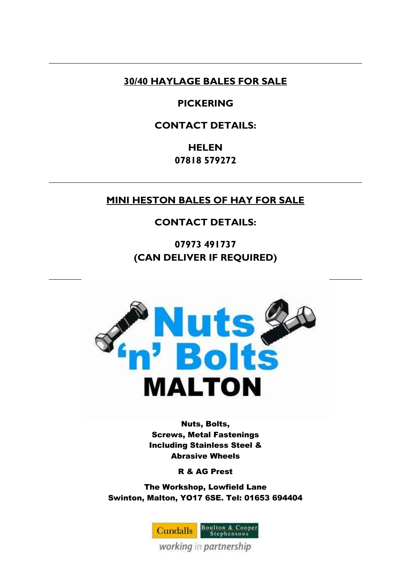# **30/40 HAYLAGE BALES FOR SALE**

# **PICKERING**

# **CONTACT DETAILS:**

**HELEN 07818 579272**

# **MINI HESTON BALES OF HAY FOR SALE**

# **CONTACT DETAILS:**

**07973 491737 (CAN DELIVER IF REQUIRED)**



Nuts, Bolts, Screws, Metal Fastenings Including Stainless Steel & Abrasive Wheels

R & AG Prest

The Workshop, Lowfield Lane Swinton, Malton, YO17 6SE. Tel: 01653 694404

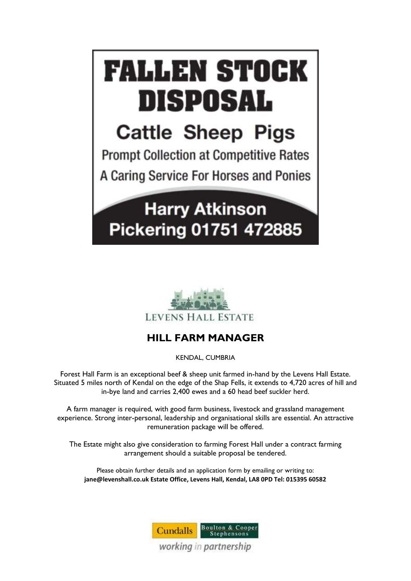



# **HILL FARM MANAGER**

KENDAL, CUMBRIA

Forest Hall Farm is an exceptional beef & sheep unit farmed in-hand by the Levens Hall Estate. Situated 5 miles north of Kendal on the edge of the Shap Fells, it extends to 4,720 acres of hill and in-bye land and carries 2,400 ewes and a 60 head beef suckler herd.

A farm manager is required, with good farm business, livestock and grassland management experience. Strong inter-personal, leadership and organisational skills are essential. An attractive remuneration package will be offered.

The Estate might also give consideration to farming Forest Hall under a contract farming arrangement should a suitable proposal be tendered.

Please obtain further details and an application form by emailing or writing to: **jane@levenshall.co.uk Estate Office, Levens Hall, Kendal, LA8 0PD Tel: 015395 60582**